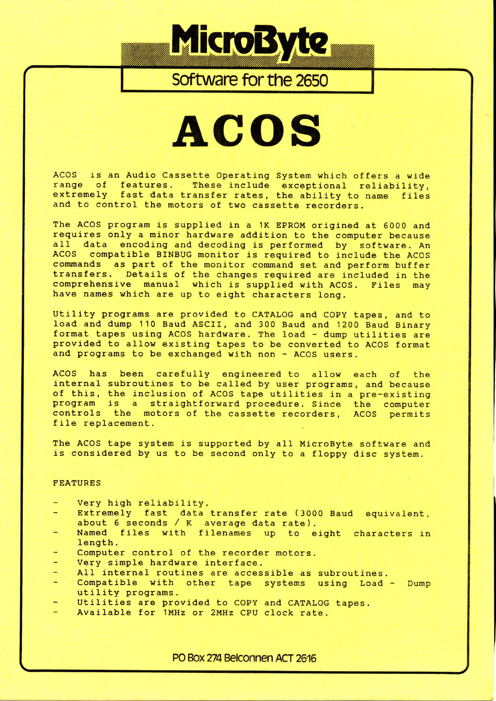

# Software for the 2650

# **ACOS**

ACOS is an Audio Cassette Operating System which ofters a wide range of features. These include exceptional reliability, extremely fast data transfer rates, the ability to name files and to control the motors of two cassette recorders.

The ACOS program is supplied in a 1K EPROM origined at 6000 and requires only a minor hardware addition to the computer because all data encoding and decoding is performed by software. An ACOS compatible BINBUG monitor is required to include the ACOS compatible BINBUG monitor is required to include the ACOS commands as part of the monitor command set and perform buffer transfers. Details of the changes required are included in the comprehensive manual which is supplied with ACOS. Files may have names which are up to eight characters long.

Utility programs are provided to CATALOG and COPY tapes, and to load and dump 110 Baud ASCII, and 300 Baud and 1200 Baud Binar format tapes using ACOS hardware. The load - dump utilities are provided to allow existing tapes to be converted to ACOS forma and programs to be exchanged with non - ACOS users.

ACOS has been carefully engineered to allow each of the internal subroutines to be called by user programs, and because of this, the inclusion of ACOS tape utilities in a pre-existing program is a straightforward procedure. Since the computer controls the motors of the cassette recorders, ACOS permits file replacement.

The ACOS tape system is supported by a1l MicroByte software and is considered by us to be second only to a floppy disc system.

## **FEATURES**

- Very high reliability.
- Extremely fast data transfer rate (3000 Baud equivalent, about 6 seconds / K average data rate).
- Named files with filenames up to eight characters in Iength.
- Computer control of the recorder motors.
- very simple hardware interface.
- Al] internal routines are accessible as subroutines.
- Compatible with other tape systems using Load Dump utility programs.
- Utilities are provided to COPY and CATALOG tapes.
- Available for 1MHz or 2MHz CPU clock rate.

PO Box 274 Belconnen ACT 2616